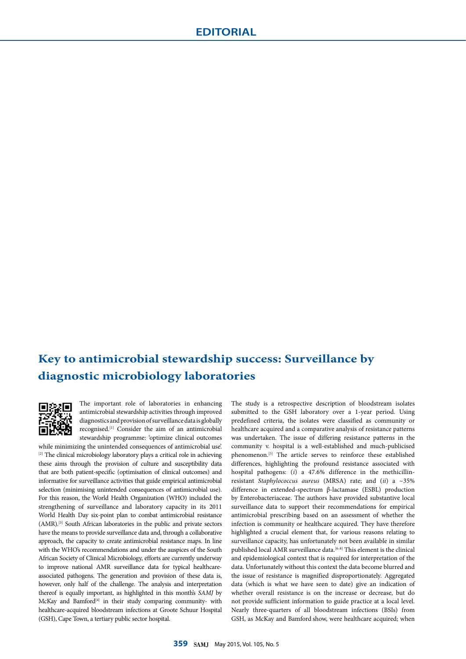## **Key to antimicrobial stewardship success: Surveillance by diagnostic microbiology laboratories**



The important role of laboratories in enhancing antimicrobial stewardship activities through improved diagnostics and provision of surveillance data is globally recognised.[1] Consider the aim of an antimicrobial stewardship programme: 'optimize clinical outcomes

while minimizing the unintended consequences of antimicrobial use'. [2] The clinical microbiology laboratory plays a critical role in achieving these aims through the provision of culture and susceptibility data that are both patient-specific (optimisation of clinical outcomes) and informative for surveillance activities that guide empirical antimicrobial selection (minimising unintended consequences of antimicrobial use). For this reason, the World Health Organization (WHO) included the strengthening of surveillance and laboratory capacity in its 2011 World Health Day six-point plan to combat antimicrobial resistance (AMR).[3] South African laboratories in the public and private sectors have the means to provide surveillance data and, through a collaborative approach, the capacity to create antimicrobial resistance maps. In line with the WHO's recommendations and under the auspices of the South African Society of Clinical Microbiology, efforts are currently underway to improve national AMR surveillance data for typical healthcareassociated pathogens. The generation and provision of these data is, however, only half of the challenge. The analysis and interpretation thereof is equally important, as highlighted in this month's *SAMJ* by McKay and Bamford[4] in their study comparing community- with healthcare-acquired bloodstream infections at Groote Schuur Hospital (GSH), Cape Town, a tertiary public sector hospital.

The study is a retrospective description of bloodstream isolates submitted to the GSH laboratory over a 1-year period. Using predefined criteria, the isolates were classified as community or healthcare acquired and a comparative analysis of resistance patterns was undertaken. The issue of differing resistance patterns in the community v. hospital is a well-established and much-publicised phenomenon.[5] The article serves to reinforce these established differences, highlighting the profound resistance associated with hospital pathogens: (*i*) a 47.6% difference in the methicillinresistant *Staphylococcus aureus* (MRSA) rate; and (*ii*) a ~35% difference in extended-spectrum β-lactamase (ESBL) production by Enterobacteriaceae. The authors have provided substantive local surveillance data to support their recommendations for empirical antimicrobial prescribing based on an assessment of whether the infection is community or healthcare acquired. They have therefore highlighted a crucial element that, for various reasons relating to surveillance capacity, has unfortunately not been available in similar published local AMR surveillance data.<sup>[6-8]</sup> This element is the clinical and epidemiological context that is required for interpretation of the data. Unfortunately without this context the data become blurred and the issue of resistance is magnified disproportionately. Aggregated data (which is what we have seen to date) give an indication of whether overall resistance is on the increase or decrease, but do not provide sufficient information to guide practice at a local level. Nearly three-quarters of all bloodstream infections (BSIs) from GSH, as McKay and Bamford show, were healthcare acquired; when